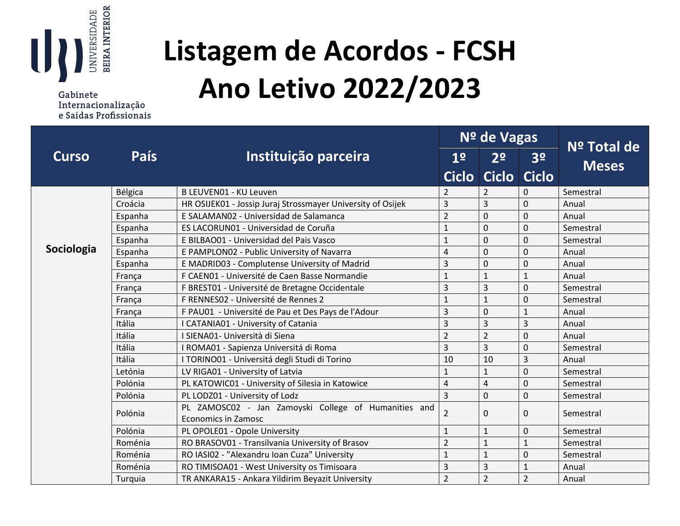

Gabinete Internacionalização e Saídas Profissionais

## **Listagem de Acordos - FCSH Ano Letivo 2022/2023**

|              |             |                                                             | Nº de Vagas    | Nº Total de             |                |              |
|--------------|-------------|-------------------------------------------------------------|----------------|-------------------------|----------------|--------------|
| <b>Curso</b> | <b>País</b> | Instituição parceira                                        | 1 <sup>o</sup> | 2 <sup>o</sup>          | 3 <sup>o</sup> |              |
|              |             |                                                             | <b>Ciclo</b>   | <b>Ciclo</b>            | <b>Ciclo</b>   | <b>Meses</b> |
|              | Bélgica     | B LEUVEN01 - KU Leuven                                      | 2              | 2                       | $\Omega$       | Semestral    |
|              | Croácia     | HR OSIJEK01 - Jossip Juraj Strossmayer University of Osijek | $\overline{3}$ | $\overline{3}$          | 0              | Anual        |
|              | Espanha     | E SALAMANO2 - Universidad de Salamanca                      | $\overline{2}$ | $\mathbf 0$             | 0              | Anual        |
|              | Espanha     | ES LACORUN01 - Universidad de Coruña                        | $\mathbf{1}$   | $\mathbf 0$             | 0              | Semestral    |
|              | Espanha     | E BILBAO01 - Universidad del Pais Vasco                     | $\mathbf{1}$   | $\mathbf 0$             | 0              | Semestral    |
| Sociologia   | Espanha     | E PAMPLON02 - Public University of Navarra                  | 4              | $\mathbf 0$             | 0              | Anual        |
|              | Espanha     | E MADRID03 - Complutense University of Madrid               | 3              | $\mathbf 0$             | 0              | Anual        |
|              | França      | F CAEN01 - Université de Caen Basse Normandie               | $\mathbf{1}$   | $\mathbf{1}$            | $\mathbf{1}$   | Anual        |
|              | França      | F BREST01 - Université de Bretagne Occidentale              | 3              | $\overline{\mathbf{3}}$ | 0              | Semestral    |
|              | França      | F RENNESO2 - Université de Rennes 2                         | $\mathbf{1}$   | $\mathbf{1}$            | 0              | Semestral    |
|              | França      | F PAU01 - Université de Pau et Des Pays de l'Adour          | $\overline{3}$ | $\mathbf 0$             | $\mathbf{1}$   | Anual        |
|              | Itália      | I CATANIA01 - University of Catania                         | 3              | $\overline{3}$          | 3              | Anual        |
|              | Itália      | I SIENA01- Università di Siena                              | $\overline{2}$ | $\overline{2}$          | 0              | Anual        |
|              | Itália      | I ROMA01 - Sapienza Universitá di Roma                      | $\overline{3}$ | $\overline{3}$          | 0              | Semestral    |
|              | Itália      | I TORINO01 - Universitá degli Studi di Torino               | 10             | 10                      | 3              | Anual        |
|              | Letónia     | LV RIGA01 - University of Latvia                            | $\mathbf{1}$   | $\mathbf{1}$            | $\overline{0}$ | Semestral    |
|              | Polónia     | PL KATOWIC01 - University of Silesia in Katowice            | $\overline{4}$ | $\overline{4}$          | 0              | Semestral    |
|              | Polónia     | PL LODZ01 - University of Lodz                              | $\overline{3}$ | $\mathbf 0$             | 0              | Semestral    |
|              | Polónia     | PL ZAMOSC02 - Jan Zamoyski College of Humanities and        | $\overline{2}$ | $\mathbf 0$             | 0              | Semestral    |
|              |             | <b>Economics in Zamosc</b>                                  |                |                         |                |              |
|              | Polónia     | PL OPOLE01 - Opole University                               | $\mathbf{1}$   | $\mathbf{1}$            | $\Omega$       | Semestral    |
|              | Roménia     | RO BRASOV01 - Transilvania University of Brasov             | $\overline{2}$ | $\mathbf{1}$            | $\mathbf{1}$   | Semestral    |
|              | Roménia     | RO IASI02 - "Alexandru Ioan Cuza" University                | $\mathbf{1}$   | $\mathbf{1}$            | 0              | Semestral    |
|              | Roménia     | RO TIMISOA01 - West University os Timisoara                 | 3              | $\overline{3}$          | $\mathbf{1}$   | Anual        |
|              | Turquia     | TR ANKARA15 - Ankara Yildirim Beyazit University            | $\overline{2}$ | $\overline{2}$          | $\overline{2}$ | Anual        |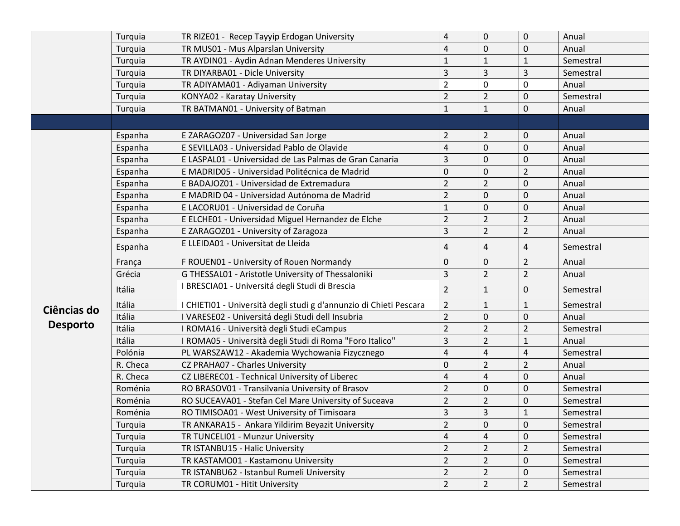|                 | Turquia  | TR RIZE01 - Recep Tayyip Erdogan University                        | $\pmb{4}$               | $\pmb{0}$      | $\pmb{0}$               | Anual     |
|-----------------|----------|--------------------------------------------------------------------|-------------------------|----------------|-------------------------|-----------|
|                 | Turquia  | TR MUS01 - Mus Alparslan University                                | $\overline{4}$          | $\mathbf 0$    | $\mathbf 0$             | Anual     |
|                 | Turquia  | TR AYDIN01 - Aydin Adnan Menderes University                       | $\mathbf{1}$            | $\mathbf{1}$   | $\mathbf{1}$            | Semestral |
|                 | Turquia  | TR DIYARBA01 - Dicle University                                    | 3                       | 3              | 3                       | Semestral |
|                 | Turquia  | TR ADIYAMA01 - Adiyaman University                                 | $\overline{2}$          | 0              | 0                       | Anual     |
|                 | Turquia  | KONYA02 - Karatay University                                       | $\overline{2}$          | $\overline{2}$ | $\mathbf 0$             | Semestral |
|                 | Turquia  | TR BATMAN01 - University of Batman                                 | $\mathbf{1}$            | $\mathbf{1}$   | $\mathbf 0$             | Anual     |
|                 |          |                                                                    |                         |                |                         |           |
|                 | Espanha  | E ZARAGOZ07 - Universidad San Jorge                                | $\overline{2}$          | $\overline{2}$ | 0                       | Anual     |
|                 | Espanha  | E SEVILLA03 - Universidad Pablo de Olavide                         | $\overline{\mathbf{4}}$ | $\mathbf 0$    | 0                       | Anual     |
|                 | Espanha  | E LASPAL01 - Universidad de Las Palmas de Gran Canaria             | 3                       | $\mathbf 0$    | $\mathbf 0$             | Anual     |
|                 | Espanha  | E MADRID05 - Universidad Politécnica de Madrid                     | 0                       | $\mathbf{0}$   | $\overline{2}$          | Anual     |
|                 | Espanha  | E BADAJOZ01 - Universidad de Extremadura                           | $\overline{2}$          | $\overline{2}$ | $\mathbf 0$             | Anual     |
|                 | Espanha  | E MADRID 04 - Universidad Autónoma de Madrid                       | $\overline{2}$          | $\overline{0}$ | $\pmb{0}$               | Anual     |
|                 | Espanha  | E LACORU01 - Universidad de Coruña                                 | $\mathbf{1}$            | $\mathbf{0}$   | $\mathbf 0$             | Anual     |
|                 | Espanha  | E ELCHE01 - Universidad Miguel Hernandez de Elche                  | $\overline{2}$          | $\overline{2}$ | $\overline{2}$          | Anual     |
|                 | Espanha  | E ZARAGOZ01 - University of Zaragoza                               | $\overline{3}$          | $\overline{2}$ | $\overline{2}$          | Anual     |
|                 | Espanha  | E LLEIDA01 - Universitat de Lleida                                 | 4                       | 4              | 4                       | Semestral |
|                 | França   | F ROUEN01 - University of Rouen Normandy                           | 0                       | $\mathbf 0$    | $\overline{2}$          | Anual     |
|                 | Grécia   | G THESSAL01 - Aristotle University of Thessaloniki                 | $\overline{\mathbf{3}}$ | $\overline{2}$ | $\overline{2}$          | Anual     |
|                 | Itália   | I BRESCIA01 - Universitá degli Studi di Brescia                    | $\overline{2}$          | $\mathbf{1}$   | $\mathbf{0}$            | Semestral |
| Ciências do     | Itália   | I CHIETI01 - Università degli studi g d'annunzio di Chieti Pescara | $\overline{2}$          | $\mathbf{1}$   | $\mathbf{1}$            | Semestral |
|                 | Itália   | I VARESE02 - Universitá degli Studi dell Insubria                  | $\overline{2}$          | $\mathbf 0$    | $\mathbf 0$             | Anual     |
| <b>Desporto</b> | Itália   | I ROMA16 - Università degli Studi eCampus                          | $\overline{2}$          | $\overline{2}$ | $\overline{2}$          | Semestral |
|                 | Itália   | I ROMA05 - Università degli Studi di Roma "Foro Italico"           | $\overline{\mathbf{3}}$ | $\overline{2}$ | $\mathbf{1}$            | Anual     |
|                 | Polónia  | PL WARSZAW12 - Akademia Wychowania Fizycznego                      | $\overline{\mathbf{4}}$ | $\overline{4}$ | $\overline{\mathbf{r}}$ | Semestral |
|                 | R. Checa | CZ PRAHA07 - Charles University                                    | 0                       | $\overline{2}$ | $\overline{2}$          | Anual     |
|                 | R. Checa | CZ LIBEREC01 - Technical University of Liberec                     | $\overline{\mathbf{4}}$ | $\overline{4}$ | $\pmb{0}$               | Anual     |
|                 | Roménia  | RO BRASOV01 - Transilvania University of Brasov                    | $\overline{2}$          | $\mathbf 0$    | $\mathbf 0$             | Semestral |
|                 | Roménia  | RO SUCEAVA01 - Stefan Cel Mare University of Suceava               | $\overline{2}$          | $\overline{2}$ | $\mathbf 0$             | Semestral |
|                 | Roménia  | RO TIMISOA01 - West University of Timisoara                        | $\overline{3}$          | $\overline{3}$ | $\mathbf{1}$            | Semestral |
|                 | Turquia  | TR ANKARA15 - Ankara Yildirim Beyazit University                   | $\overline{2}$          | $\mathbf 0$    | $\mathbf 0$             | Semestral |
|                 | Turquia  | TR TUNCELI01 - Munzur University                                   | 4                       | $\overline{4}$ | $\mathbf 0$             | Semestral |
|                 | Turquia  | TR ISTANBU15 - Halic University                                    | $\overline{2}$          | $\overline{2}$ | $\overline{2}$          | Semestral |
|                 | Turquia  | TR KASTAMO01 - Kastamonu University                                | $\overline{2}$          | $\overline{2}$ | $\mathbf 0$             | Semestral |
|                 | Turquia  | TR ISTANBU62 - Istanbul Rumeli University                          | $\overline{2}$          | $\overline{2}$ | $\mathbf 0$             | Semestral |
|                 | Turquia  | TR CORUM01 - Hitit University                                      | $\overline{2}$          | $\overline{2}$ | $\overline{2}$          | Semestral |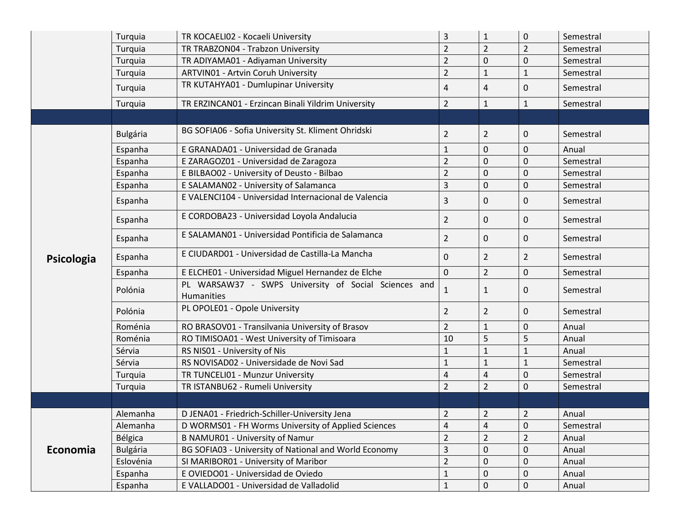|            | Turquia         | TR KOCAELI02 - Kocaeli University                                         | $\mathbf{3}$   | $\mathbf{1}$   | $\pmb{0}$      | Semestral |
|------------|-----------------|---------------------------------------------------------------------------|----------------|----------------|----------------|-----------|
|            | Turquia         | TR TRABZON04 - Trabzon University                                         | $\overline{2}$ | $\overline{2}$ | $\overline{2}$ | Semestral |
|            | Turquia         | TR ADIYAMA01 - Adiyaman University                                        | $\overline{2}$ | $\mathbf 0$    | $\mathbf 0$    | Semestral |
|            | Turquia         | <b>ARTVIN01 - Artvin Coruh University</b>                                 | $\overline{2}$ | $\mathbf{1}$   | $\mathbf{1}$   | Semestral |
|            | Turquia         | TR KUTAHYA01 - Dumlupinar University                                      | $\overline{4}$ | 4              | $\mathbf 0$    | Semestral |
|            | Turquia         | TR ERZINCAN01 - Erzincan Binali Yildrim University                        | $\overline{2}$ | $\mathbf{1}$   | $1\,$          | Semestral |
|            |                 |                                                                           |                |                |                |           |
|            | <b>Bulgária</b> | BG SOFIA06 - Sofia University St. Kliment Ohridski                        | $\overline{2}$ | $\overline{2}$ | $\mathbf 0$    | Semestral |
|            | Espanha         | E GRANADA01 - Universidad de Granada                                      | $\mathbf 1$    | 0              | 0              | Anual     |
|            | Espanha         | E ZARAGOZ01 - Universidad de Zaragoza                                     | $\overline{2}$ | $\Omega$       | 0              | Semestral |
|            | Espanha         | E BILBAO02 - University of Deusto - Bilbao                                | $\overline{2}$ | 0              | $\mathbf 0$    | Semestral |
|            | Espanha         | E SALAMANO2 - University of Salamanca                                     | $\overline{3}$ | 0              | $\pmb{0}$      | Semestral |
|            | Espanha         | E VALENCI104 - Universidad Internacional de Valencia                      | $\overline{3}$ | 0              | 0              | Semestral |
|            | Espanha         | E CORDOBA23 - Universidad Loyola Andalucia                                | $\overline{2}$ | 0              | 0              | Semestral |
|            | Espanha         | E SALAMANO1 - Universidad Pontificia de Salamanca                         | $\overline{2}$ | 0              | $\mathbf 0$    | Semestral |
| Psicologia | Espanha         | E CIUDARD01 - Universidad de Castilla-La Mancha                           | $\pmb{0}$      | $\overline{2}$ | $\overline{2}$ | Semestral |
|            | Espanha         | E ELCHE01 - Universidad Miguel Hernandez de Elche                         | $\pmb{0}$      | $\overline{2}$ | $\mathbf 0$    | Semestral |
|            | Polónia         | PL WARSAW37 - SWPS University of Social Sciences and<br><b>Humanities</b> | $\mathbf{1}$   | 1              | $\mathbf{0}$   | Semestral |
|            | Polónia         | PL OPOLE01 - Opole University                                             | $\overline{2}$ | $\overline{2}$ | 0              | Semestral |
|            | Roménia         | RO BRASOV01 - Transilvania University of Brasov                           | $\overline{2}$ | $\mathbf{1}$   | 0              | Anual     |
|            | Roménia         | RO TIMISOA01 - West University of Timisoara                               | 10             | 5              | 5              | Anual     |
|            | Sérvia          | RS NIS01 - University of Nis                                              | $\mathbf 1$    | 1              | $\mathbf{1}$   | Anual     |
|            | Sérvia          | RS NOVISAD02 - Universidade de Novi Sad                                   | $\mathbf 1$    | $\mathbf{1}$   | $\mathbf{1}$   | Semestral |
|            | Turquia         | TR TUNCELI01 - Munzur University                                          | $\sqrt{4}$     | $\overline{4}$ | 0              | Semestral |
|            | Turquia         | TR ISTANBU62 - Rumeli University                                          | $\overline{2}$ | $\overline{2}$ | $\mathbf 0$    | Semestral |
|            |                 |                                                                           |                |                |                |           |
|            | Alemanha        | D JENA01 - Friedrich-Schiller-University Jena                             | $\overline{2}$ | $\overline{2}$ | $\overline{2}$ | Anual     |
|            | Alemanha        | D WORMS01 - FH Worms University of Applied Sciences                       | $\overline{4}$ | $\overline{4}$ | $\mathbf 0$    | Semestral |
|            | Bélgica         | <b>B NAMUR01 - University of Namur</b>                                    | $\overline{2}$ | $\overline{2}$ | $\overline{2}$ | Anual     |
| Economia   | <b>Bulgária</b> | BG SOFIA03 - University of National and World Economy                     | $\mathsf 3$    | 0              | 0              | Anual     |
|            | Eslovénia       | SI MARIBOR01 - University of Maribor                                      | $\overline{2}$ | 0              | 0              | Anual     |
|            | Espanha         | E OVIEDO01 - Universidad de Oviedo                                        | $\mathbf 1$    | 0              | 0              | Anual     |
|            | Espanha         | E VALLADO01 - Universidad de Valladolid                                   | $\mathbf{1}$   | 0              | 0              | Anual     |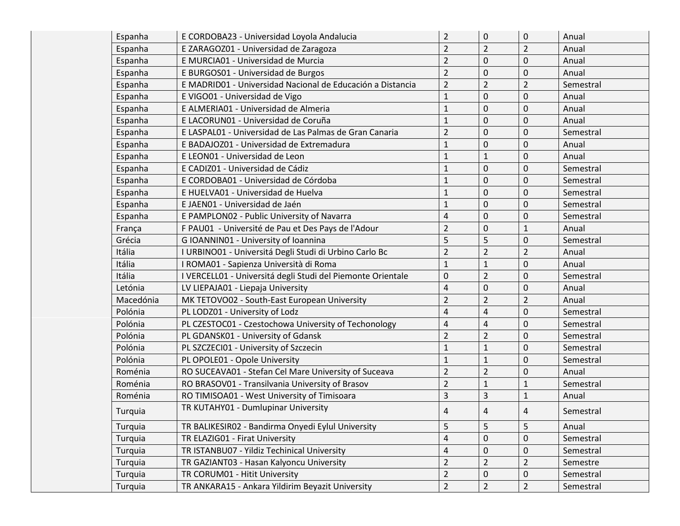| Espanha   | E CORDOBA23 - Universidad Loyola Andalucia                  | $\overline{2}$          | $\mathbf 0$      | $\pmb{0}$      | Anual     |
|-----------|-------------------------------------------------------------|-------------------------|------------------|----------------|-----------|
| Espanha   | E ZARAGOZ01 - Universidad de Zaragoza                       | $\overline{2}$          | $\overline{2}$   | $\overline{2}$ | Anual     |
| Espanha   | E MURCIA01 - Universidad de Murcia                          | $\overline{2}$          | $\mathbf 0$      | $\mathbf 0$    | Anual     |
| Espanha   | E BURGOS01 - Universidad de Burgos                          | $\overline{2}$          | $\pmb{0}$        | $\mathbf 0$    | Anual     |
| Espanha   | E MADRID01 - Universidad Nacional de Educación a Distancia  | $\overline{2}$          | $\overline{2}$   | $\overline{2}$ | Semestral |
| Espanha   | E VIGO01 - Universidad de Vigo                              | $\mathbf 1$             | $\mathbf 0$      | $\mathbf 0$    | Anual     |
| Espanha   | E ALMERIA01 - Universidad de Almeria                        | $\mathbf{1}$            | $\boldsymbol{0}$ | $\mathbf 0$    | Anual     |
| Espanha   | E LACORUNO1 - Universidad de Coruña                         | $\mathbf{1}$            | $\mathbf 0$      | $\mathbf 0$    | Anual     |
| Espanha   | E LASPAL01 - Universidad de Las Palmas de Gran Canaria      | $\overline{2}$          | 0                | 0              | Semestral |
| Espanha   | E BADAJOZ01 - Universidad de Extremadura                    | $\mathbf{1}$            | $\mathbf 0$      | $\mathbf 0$    | Anual     |
| Espanha   | E LEON01 - Universidad de Leon                              | $\mathbf{1}$            | $\mathbf{1}$     | $\mathbf 0$    | Anual     |
| Espanha   | E CADIZ01 - Universidad de Cádiz                            | $\mathbf{1}$            | 0                | 0              | Semestral |
| Espanha   | E CORDOBA01 - Universidad de Córdoba                        | $\mathbf{1}$            | $\mathbf 0$      | $\mathbf 0$    | Semestral |
| Espanha   | E HUELVA01 - Universidad de Huelva                          | $\mathbf{1}$            | $\pmb{0}$        | $\mathbf 0$    | Semestral |
| Espanha   | E JAENO1 - Universidad de Jaén                              | 1                       | $\mathbf 0$      | $\mathbf 0$    | Semestral |
| Espanha   | E PAMPLON02 - Public University of Navarra                  | 4                       | $\mathbf 0$      | $\mathbf 0$    | Semestral |
| França    | F PAU01 - Université de Pau et Des Pays de l'Adour          | $\overline{2}$          | $\pmb{0}$        | $\mathbf 1$    | Anual     |
| Grécia    | G IOANNIN01 - University of Ioannina                        | 5                       | 5                | $\mathbf 0$    | Semestral |
| Itália    | I URBINO01 - Universitá Degli Studi di Urbino Carlo Bc      | $\overline{2}$          | $\overline{2}$   | $\overline{2}$ | Anual     |
| Itália    | I ROMA01 - Sapienza Università di Roma                      | $\mathbf{1}$            | $\mathbf{1}$     | $\mathbf 0$    | Anual     |
| Itália    | I VERCELL01 - Universitá degli Studi del Piemonte Orientale | $\mathbf 0$             | $\overline{2}$   | $\mathbf 0$    | Semestral |
| Letónia   | LV LIEPAJA01 - Liepaja University                           | $\overline{4}$          | $\mathbf 0$      | $\mathbf 0$    | Anual     |
| Macedónia | MK TETOVO02 - South-East European University                | $\overline{2}$          | $\overline{2}$   | $\overline{2}$ | Anual     |
| Polónia   | PL LODZ01 - University of Lodz                              | 4                       | $\sqrt{4}$       | $\mathbf 0$    | Semestral |
| Polónia   | PL CZESTOC01 - Czestochowa University of Techonology        | 4                       | $\overline{4}$   | $\mathbf 0$    | Semestral |
| Polónia   | PL GDANSK01 - University of Gdansk                          | $\overline{2}$          | $\overline{2}$   | $\mathbf 0$    | Semestral |
| Polónia   | PL SZCZECI01 - University of Szczecin                       | $\mathbf{1}$            | $\mathbf{1}$     | $\mathbf 0$    | Semestral |
| Polónia   | PL OPOLE01 - Opole University                               | $\mathbf{1}$            | $\mathbf{1}$     | $\mathbf 0$    | Semestral |
| Roménia   | RO SUCEAVA01 - Stefan Cel Mare University of Suceava        | $\overline{2}$          | $\overline{2}$   | $\mathbf 0$    | Anual     |
| Roménia   | RO BRASOV01 - Transilvania University of Brasov             | $\overline{2}$          | $\mathbf{1}$     | $\mathbf{1}$   | Semestral |
| Roménia   | RO TIMISOA01 - West University of Timisoara                 | 3                       | 3                | $\mathbf 1$    | Anual     |
| Turquia   | TR KUTAHY01 - Dumlupinar University                         | 4                       | 4                | 4              | Semestral |
| Turquia   | TR BALIKESIR02 - Bandirma Onyedi Eylul University           | 5                       | 5                | 5              | Anual     |
| Turquia   | TR ELAZIG01 - Firat University                              | $\overline{\mathbf{4}}$ | $\pmb{0}$        | $\mathbf 0$    | Semestral |
| Turquia   | TR ISTANBU07 - Yildiz Techinical University                 | 4                       | 0                | $\pmb{0}$      | Semestral |
| Turquia   | TR GAZIANT03 - Hasan Kalyoncu University                    | $\overline{2}$          | $\overline{2}$   | $\overline{2}$ | Semestre  |
| Turquia   | TR CORUM01 - Hitit University                               | $\overline{2}$          | $\pmb{0}$        | $\mathbf 0$    | Semestral |
| Turquia   | TR ANKARA15 - Ankara Yildirim Beyazit University            | $\overline{2}$          | $\overline{2}$   | $\overline{2}$ | Semestral |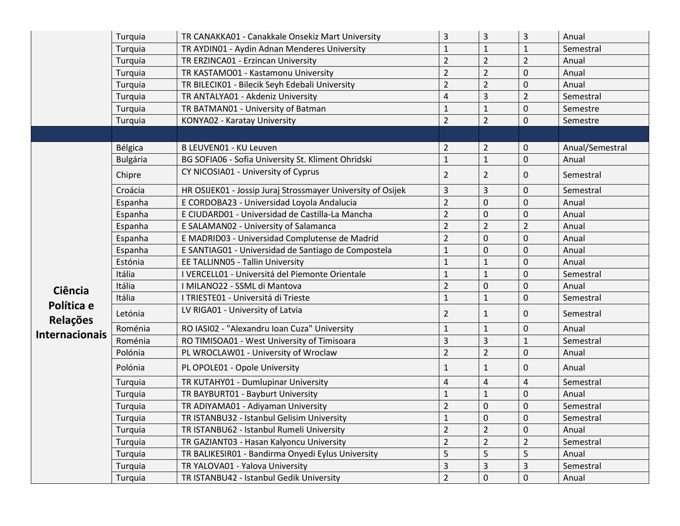|                        | Turquia         | TR CANAKKA01 - Canakkale Onsekiz Mart University            | 3              | 3              | 3                       | Anual           |
|------------------------|-----------------|-------------------------------------------------------------|----------------|----------------|-------------------------|-----------------|
|                        | Turquia         | TR AYDIN01 - Aydin Adnan Menderes University                | $\mathbf{1}$   | $\mathbf{1}$   | $\mathbf{1}$            | Semestral       |
|                        | Turquia         | TR ERZINCA01 - Erzincan University                          | $\overline{2}$ | $\overline{2}$ | $\overline{2}$          | Anual           |
|                        | Turquia         | TR KASTAMO01 - Kastamonu University                         | $\overline{2}$ | $\overline{2}$ | 0                       | Anual           |
|                        | Turquia         | TR BILECIK01 - Bilecik Seyh Edebali University              | $\overline{2}$ | $\overline{2}$ | 0                       | Anual           |
|                        | Turquia         | TR ANTALYA01 - Akdeniz University                           | $\overline{4}$ | 3              | $\overline{2}$          | Semestral       |
|                        | Turquia         | TR BATMAN01 - University of Batman                          | $\mathbf{1}$   | $\mathbf 1$    | 0                       | Semestre        |
|                        | Turquia         | KONYA02 - Karatay University                                | $\overline{2}$ | $\overline{2}$ | 0                       | Semestre        |
|                        |                 |                                                             |                |                |                         |                 |
|                        | Bélgica         | B LEUVEN01 - KU Leuven                                      | $\overline{2}$ | 2              | 0                       | Anual/Semestral |
|                        | <b>Bulgária</b> | BG SOFIA06 - Sofia University St. Kliment Ohridski          | $\mathbf{1}$   | $\mathbf{1}$   | 0                       | Anual           |
|                        | Chipre          | CY NICOSIA01 - University of Cyprus                         | $\overline{2}$ | $\overline{2}$ | 0                       | Semestral       |
|                        | Croácia         | HR OSIJEK01 - Jossip Juraj Strossmayer University of Osijek | 3              | 3              | 0                       | Semestral       |
|                        | Espanha         | E CORDOBA23 - Universidad Loyola Andalucia                  | $\overline{2}$ | 0              | 0                       | Anual           |
|                        | Espanha         | E CIUDARD01 - Universidad de Castilla-La Mancha             | $\overline{2}$ | 0              | 0                       | Anual           |
|                        | Espanha         | E SALAMAN02 - University of Salamanca                       | $\overline{2}$ | $\overline{2}$ | $\overline{2}$          | Anual           |
|                        | Espanha         | E MADRID03 - Universidad Complutense de Madrid              | $\overline{2}$ | 0              | 0                       | Anual           |
|                        | Espanha         | E SANTIAG01 - Universidad de Santiago de Compostela         | $\mathbf{1}$   | 0              | 0                       | Anual           |
|                        | Estónia         | EE TALLINN05 - Tallin University                            | 1              | 1              | 0                       | Anual           |
|                        | Itália          | I VERCELL01 - Universitá del Piemonte Orientale             | $\mathbf{1}$   | $\mathbf{1}$   | 0                       | Semestral       |
| Ciência                | Itália          | I MILANO22 - SSML di Mantova                                | $\overline{2}$ | 0              | 0                       | Anual           |
|                        | Itália          | I TRIESTE01 - Universitá di Trieste                         | $\mathbf{1}$   | $\mathbf{1}$   | 0                       | Semestral       |
| Política e<br>Relações | Letónia         | LV RIGA01 - University of Latvia                            | $\overline{2}$ | $\mathbf{1}$   | 0                       | Semestral       |
| <b>Internacionais</b>  | Roménia         | RO IASI02 - "Alexandru Ioan Cuza" University                | $\mathbf{1}$   | $\mathbf{1}$   | 0                       | Anual           |
|                        | Roménia         | RO TIMISOA01 - West University of Timisoara                 | $\mathsf{3}$   | 3              | 1                       | Semestral       |
|                        | Polónia         | PL WROCLAW01 - University of Wroclaw                        | $\overline{2}$ | $\overline{2}$ | 0                       | Anual           |
|                        | Polónia         | PL OPOLE01 - Opole University                               | 1              | 1              | 0                       | Anual           |
|                        | Turquia         | TR KUTAHY01 - Dumlupinar University                         | 4              | 4              | $\overline{\mathbf{4}}$ | Semestral       |
|                        | Turquia         | TR BAYBURT01 - Bayburt University                           | $\mathbf{1}$   | $\mathbf{1}$   | 0                       | Anual           |
|                        | Turquia         | TR ADIYAMA01 - Adiyaman University                          | $\overline{2}$ | 0              | 0                       | Semestral       |
|                        | Turquia         | TR ISTANBU32 - Istanbul Gelisim University                  | $\mathbf 1$    | $\pmb{0}$      | 0                       | Semestral       |
|                        | Turquia         | TR ISTANBU62 - Istanbul Rumeli University                   | $\overline{2}$ | $\overline{2}$ | $\Omega$                | Anual           |
|                        | Turquia         | TR GAZIANT03 - Hasan Kalyoncu University                    | $\overline{2}$ | $\overline{2}$ | $\overline{2}$          | Semestral       |
|                        | Turquia         | TR BALIKESIR01 - Bandirma Onyedi Eylus University           | 5              | 5              | 5                       | Anual           |
|                        | Turquia         | TR YALOVA01 - Yalova University                             | $\overline{3}$ | 3              | 3                       | Semestral       |
|                        | Turquia         | TR ISTANBU42 - Istanbul Gedik University                    | $\overline{2}$ | 0              | 0                       | Anual           |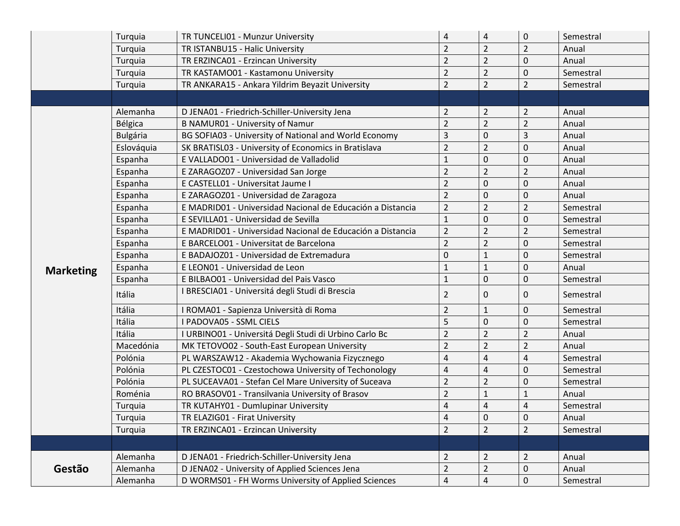|                  | Turquia         | TR TUNCELI01 - Munzur University                           | 4                       | 4              | $\pmb{0}$      | Semestral |
|------------------|-----------------|------------------------------------------------------------|-------------------------|----------------|----------------|-----------|
|                  | Turquia         | TR ISTANBU15 - Halic University                            | $\overline{2}$          | $\overline{2}$ | $\overline{2}$ | Anual     |
|                  | Turquia         | TR ERZINCA01 - Erzincan University                         | $\overline{2}$          | $\overline{2}$ | $\mathbf 0$    | Anual     |
|                  | Turquia         | TR KASTAMO01 - Kastamonu University                        | $\overline{2}$          | $\overline{2}$ | $\mathbf 0$    | Semestral |
|                  | Turquia         | TR ANKARA15 - Ankara Yildrim Beyazit University            | $\overline{2}$          | $\overline{2}$ | $\overline{2}$ | Semestral |
|                  |                 |                                                            |                         |                |                |           |
|                  | Alemanha        | D JENA01 - Friedrich-Schiller-University Jena              | $\overline{2}$          | $\overline{2}$ | $\overline{2}$ | Anual     |
|                  | Bélgica         | <b>B NAMUR01 - University of Namur</b>                     | $\overline{2}$          | $\overline{2}$ | $\overline{2}$ | Anual     |
|                  | <b>Bulgária</b> | BG SOFIA03 - University of National and World Economy      | 3                       | $\mathbf 0$    | 3              | Anual     |
|                  | Eslováquia      | SK BRATISL03 - University of Economics in Bratislava       | $\overline{2}$          | $\overline{2}$ | $\mathbf 0$    | Anual     |
|                  | Espanha         | E VALLADO01 - Universidad de Valladolid                    | $\mathbf 1$             | $\mathbf 0$    | $\pmb{0}$      | Anual     |
|                  | Espanha         | E ZARAGOZ07 - Universidad San Jorge                        | $\overline{2}$          | $\overline{2}$ | $\overline{2}$ | Anual     |
|                  | Espanha         | E CASTELL01 - Universitat Jaume I                          | $\overline{2}$          | $\mathbf 0$    | $\mathbf 0$    | Anual     |
|                  | Espanha         | E ZARAGOZ01 - Universidad de Zaragoza                      | $\overline{2}$          | $\mathbf 0$    | $\mathbf 0$    | Anual     |
|                  | Espanha         | E MADRID01 - Universidad Nacional de Educación a Distancia | $\overline{2}$          | $\overline{2}$ | $\overline{2}$ | Semestral |
|                  | Espanha         | E SEVILLA01 - Universidad de Sevilla                       | $\mathbf 1$             | $\mathbf 0$    | $\mathbf 0$    | Semestral |
|                  | Espanha         | E MADRID01 - Universidad Nacional de Educación a Distancia | $\overline{2}$          | $\overline{2}$ | $\overline{2}$ | Semestral |
|                  | Espanha         | E BARCELO01 - Universitat de Barcelona                     | $\overline{2}$          | $\overline{2}$ | $\mathbf 0$    | Semestral |
|                  | Espanha         | E BADAJOZ01 - Universidad de Extremadura                   | 0                       | $\mathbf{1}$   | $\mathbf 0$    | Semestral |
| <b>Marketing</b> | Espanha         | E LEON01 - Universidad de Leon                             | $\mathbf 1$             | $\mathbf{1}$   | $\pmb{0}$      | Anual     |
|                  | Espanha         | E BILBAO01 - Universidad del Pais Vasco                    | $\mathbf{1}$            | $\mathbf 0$    | 0              | Semestral |
|                  | Itália          | I BRESCIA01 - Universitá degli Studi di Brescia            | $\overline{2}$          | $\mathbf 0$    | 0              | Semestral |
|                  | Itália          | I ROMA01 - Sapienza Università di Roma                     | $\overline{2}$          | $\mathbf{1}$   | $\mathbf 0$    | Semestral |
|                  | Itália          | I PADOVA05 - SSML CIELS                                    | 5                       | $\mathbf 0$    | $\mathbf 0$    | Semestral |
|                  | Itália          | I URBINO01 - Universitá Degli Studi di Urbino Carlo Bc     | $\overline{2}$          | $\overline{2}$ | $\overline{2}$ | Anual     |
|                  | Macedónia       | MK TETOVO02 - South-East European University               | $\overline{2}$          | $\overline{2}$ | $\overline{2}$ | Anual     |
|                  | Polónia         | PL WARSZAW12 - Akademia Wychowania Fizycznego              | 4                       | $\overline{4}$ | 4              | Semestral |
|                  | Polónia         | PL CZESTOC01 - Czestochowa University of Techonology       | $\overline{\mathbf{4}}$ | $\overline{4}$ | $\mathbf 0$    | Semestral |
|                  | Polónia         | PL SUCEAVA01 - Stefan Cel Mare University of Suceava       | $\overline{2}$          | $\overline{2}$ | $\mathbf 0$    | Semestral |
|                  | Roménia         | RO BRASOV01 - Transilvania University of Brasov            | $\overline{2}$          | $\mathbf{1}$   | 1              | Anual     |
|                  | Turquia         | TR KUTAHY01 - Dumlupinar University                        | 4                       | 4              | $\overline{a}$ | Semestral |
|                  | Turquia         | TR ELAZIG01 - Firat University                             | 4                       | 0              | $\mathbf 0$    | Anual     |
|                  | Turquia         | TR ERZINCA01 - Erzincan University                         | $\overline{2}$          | $\overline{2}$ | $\overline{2}$ | Semestral |
|                  |                 |                                                            |                         |                |                |           |
|                  | Alemanha        | D JENA01 - Friedrich-Schiller-University Jena              | $\overline{2}$          | $\overline{2}$ | $\overline{2}$ | Anual     |
| Gestão           | Alemanha        | D JENA02 - University of Applied Sciences Jena             | $\overline{2}$          | $\mathbf 2$    | $\mathsf 0$    | Anual     |
|                  | Alemanha        | D WORMS01 - FH Worms University of Applied Sciences        | $\overline{\mathbf{4}}$ | $\overline{4}$ | $\mathbf 0$    | Semestral |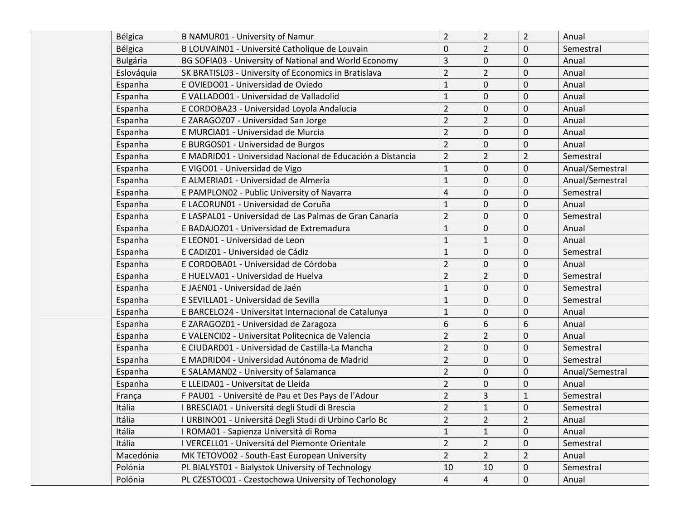| Bélgica         | <b>B NAMUR01 - University of Namur</b>                     | $\overline{2}$ | $\overline{2}$ | $\overline{2}$ | Anual           |
|-----------------|------------------------------------------------------------|----------------|----------------|----------------|-----------------|
| Bélgica         | B LOUVAIN01 - Université Catholique de Louvain             | 0              | $\overline{2}$ | 0              | Semestral       |
| <b>Bulgária</b> | BG SOFIA03 - University of National and World Economy      | 3              | 0              | $\mathbf 0$    | Anual           |
| Eslováquia      | SK BRATISL03 - University of Economics in Bratislava       | $\overline{2}$ | $\overline{2}$ | 0              | Anual           |
| Espanha         | E OVIEDO01 - Universidad de Oviedo                         | $\mathbf{1}$   | $\pmb{0}$      | 0              | Anual           |
| Espanha         | E VALLADO01 - Universidad de Valladolid                    | $\mathbf{1}$   | 0              | 0              | Anual           |
| Espanha         | E CORDOBA23 - Universidad Loyola Andalucia                 | $\overline{2}$ | 0              | $\mathbf 0$    | Anual           |
| Espanha         | E ZARAGOZ07 - Universidad San Jorge                        | $\overline{2}$ | $\overline{2}$ | 0              | Anual           |
| Espanha         | E MURCIA01 - Universidad de Murcia                         | $\overline{2}$ | 0              | 0              | Anual           |
| Espanha         | E BURGOS01 - Universidad de Burgos                         | $\overline{2}$ | 0              | 0              | Anual           |
| Espanha         | E MADRID01 - Universidad Nacional de Educación a Distancia | $\overline{2}$ | $\overline{2}$ | $\overline{2}$ | Semestral       |
| Espanha         | E VIGO01 - Universidad de Vigo                             | $\mathbf{1}$   | 0              | 0              | Anual/Semestral |
| Espanha         | E ALMERIA01 - Universidad de Almeria                       | $\mathbf{1}$   | 0              | $\mathbf 0$    | Anual/Semestral |
| Espanha         | E PAMPLON02 - Public University of Navarra                 | 4              | 0              | $\mathbf 0$    | Semestral       |
| Espanha         | E LACORUN01 - Universidad de Coruña                        | $\mathbf{1}$   | 0              | 0              | Anual           |
| Espanha         | E LASPAL01 - Universidad de Las Palmas de Gran Canaria     | $\overline{2}$ | 0              | 0              | Semestral       |
| Espanha         | E BADAJOZ01 - Universidad de Extremadura                   | $\mathbf{1}$   | $\pmb{0}$      | 0              | Anual           |
| Espanha         | E LEON01 - Universidad de Leon                             | 1              | $\mathbf{1}$   | 0              | Anual           |
| Espanha         | E CADIZ01 - Universidad de Cádiz                           | $\mathbf{1}$   | 0              | 0              | Semestral       |
| Espanha         | E CORDOBA01 - Universidad de Córdoba                       | $\overline{2}$ | 0              | $\mathbf 0$    | Anual           |
| Espanha         | E HUELVA01 - Universidad de Huelva                         | $\overline{2}$ | $\overline{2}$ | 0              | Semestral       |
| Espanha         | E JAENO1 - Universidad de Jaén                             | $\mathbf{1}$   | 0              | 0              | Semestral       |
| Espanha         | E SEVILLA01 - Universidad de Sevilla                       | $\mathbf 1$    | 0              | 0              | Semestral       |
| Espanha         | E BARCELO24 - Universitat Internacional de Catalunya       | $\mathbf{1}$   | 0              | 0              | Anual           |
| Espanha         | E ZARAGOZ01 - Universidad de Zaragoza                      | 6              | 6              | 6              | Anual           |
| Espanha         | E VALENCIO2 - Universitat Politecnica de Valencia          | $\overline{2}$ | $\overline{2}$ | $\mathbf 0$    | Anual           |
| Espanha         | E CIUDARD01 - Universidad de Castilla-La Mancha            | $\overline{2}$ | $\pmb{0}$      | 0              | Semestral       |
| Espanha         | E MADRID04 - Universidad Autónoma de Madrid                | $\overline{2}$ | 0              | 0              | Semestral       |
| Espanha         | E SALAMANO2 - University of Salamanca                      | $\overline{2}$ | $\pmb{0}$      | $\mathbf 0$    | Anual/Semestral |
| Espanha         | E LLEIDA01 - Universitat de Lleida                         | $\overline{2}$ | $\pmb{0}$      | 0              | Anual           |
| França          | F PAU01 - Université de Pau et Des Pays de l'Adour         | $\overline{2}$ | 3              | $\mathbf{1}$   | Semestral       |
| Itália          | I BRESCIA01 - Universitá degli Studi di Brescia            | $\overline{2}$ | $\mathbf{1}$   | $\mathbf 0$    | Semestral       |
| Itália          | I URBINO01 - Universitá Degli Studi di Urbino Carlo Bc     | $\overline{2}$ | 2              | 2              | Anual           |
| Itália          | I ROMA01 - Sapienza Università di Roma                     | $\mathbf{1}$   | $\mathbf{1}$   | 0              | Anual           |
| Itália          | I VERCELL01 - Universitá del Piemonte Orientale            | $\overline{2}$ | $\overline{2}$ | 0              | Semestral       |
| Macedónia       | MK TETOVO02 - South-East European University               | $\overline{2}$ | $\overline{2}$ | $\overline{2}$ | Anual           |
| Polónia         | PL BIALYST01 - Bialystok University of Technology          | 10             | 10             | 0              | Semestral       |
| Polónia         | PL CZESTOC01 - Czestochowa University of Techonology       | 4              | 4              | 0              | Anual           |